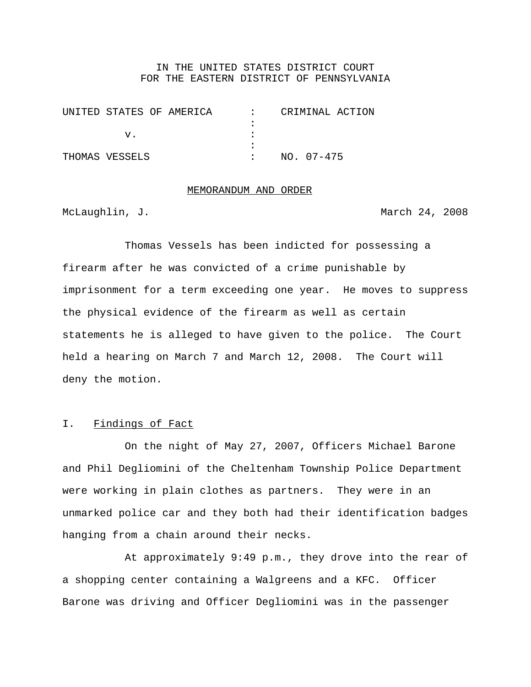#### IN THE UNITED STATES DISTRICT COURT FOR THE EASTERN DISTRICT OF PENNSYLVANIA

| UNITED STATES OF AMERICA | CRIMINAL ACTION |
|--------------------------|-----------------|
|                          |                 |
|                          |                 |
|                          |                 |
| THOMAS VESSELS           | $NO. 07 - 475$  |

# MEMORANDUM AND ORDER

McLaughlin, J. March 24, 2008

Thomas Vessels has been indicted for possessing a firearm after he was convicted of a crime punishable by imprisonment for a term exceeding one year. He moves to suppress the physical evidence of the firearm as well as certain statements he is alleged to have given to the police. The Court held a hearing on March 7 and March 12, 2008. The Court will deny the motion.

## I. Findings of Fact

On the night of May 27, 2007, Officers Michael Barone and Phil Degliomini of the Cheltenham Township Police Department were working in plain clothes as partners. They were in an unmarked police car and they both had their identification badges hanging from a chain around their necks.

At approximately 9:49 p.m., they drove into the rear of a shopping center containing a Walgreens and a KFC. Officer Barone was driving and Officer Degliomini was in the passenger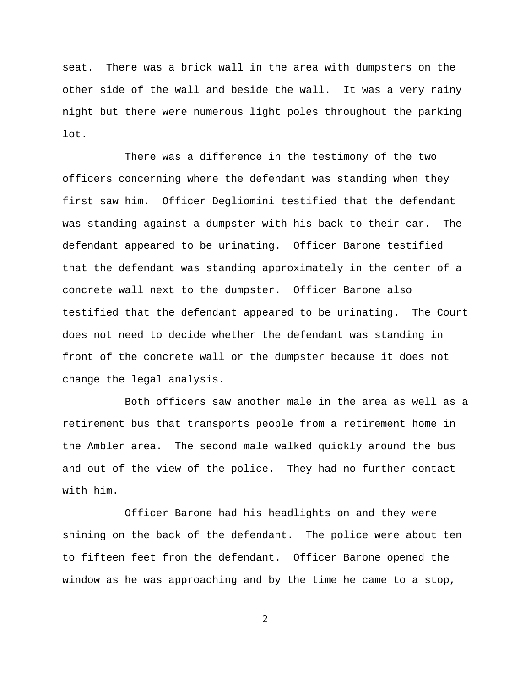seat. There was a brick wall in the area with dumpsters on the other side of the wall and beside the wall. It was a very rainy night but there were numerous light poles throughout the parking lot.

There was a difference in the testimony of the two officers concerning where the defendant was standing when they first saw him. Officer Degliomini testified that the defendant was standing against a dumpster with his back to their car. The defendant appeared to be urinating. Officer Barone testified that the defendant was standing approximately in the center of a concrete wall next to the dumpster. Officer Barone also testified that the defendant appeared to be urinating. The Court does not need to decide whether the defendant was standing in front of the concrete wall or the dumpster because it does not change the legal analysis.

Both officers saw another male in the area as well as a retirement bus that transports people from a retirement home in the Ambler area. The second male walked quickly around the bus and out of the view of the police. They had no further contact with him.

Officer Barone had his headlights on and they were shining on the back of the defendant. The police were about ten to fifteen feet from the defendant. Officer Barone opened the window as he was approaching and by the time he came to a stop,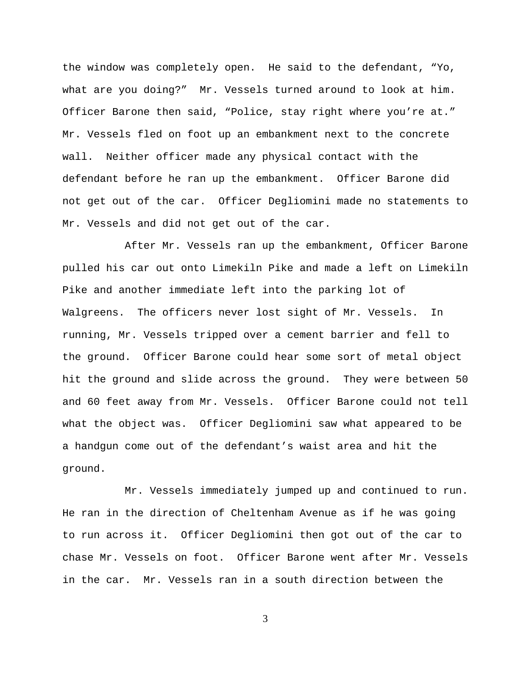the window was completely open. He said to the defendant, "Yo, what are you doing?" Mr. Vessels turned around to look at him. Officer Barone then said, "Police, stay right where you're at." Mr. Vessels fled on foot up an embankment next to the concrete wall. Neither officer made any physical contact with the defendant before he ran up the embankment. Officer Barone did not get out of the car. Officer Degliomini made no statements to Mr. Vessels and did not get out of the car.

After Mr. Vessels ran up the embankment, Officer Barone pulled his car out onto Limekiln Pike and made a left on Limekiln Pike and another immediate left into the parking lot of Walgreens. The officers never lost sight of Mr. Vessels. In running, Mr. Vessels tripped over a cement barrier and fell to the ground. Officer Barone could hear some sort of metal object hit the ground and slide across the ground. They were between 50 and 60 feet away from Mr. Vessels. Officer Barone could not tell what the object was. Officer Degliomini saw what appeared to be a handgun come out of the defendant's waist area and hit the ground.

Mr. Vessels immediately jumped up and continued to run. He ran in the direction of Cheltenham Avenue as if he was going to run across it. Officer Degliomini then got out of the car to chase Mr. Vessels on foot. Officer Barone went after Mr. Vessels in the car. Mr. Vessels ran in a south direction between the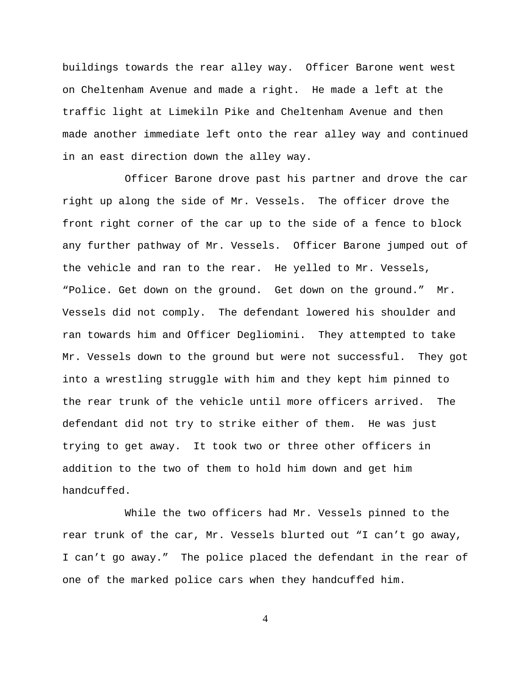buildings towards the rear alley way. Officer Barone went west on Cheltenham Avenue and made a right. He made a left at the traffic light at Limekiln Pike and Cheltenham Avenue and then made another immediate left onto the rear alley way and continued in an east direction down the alley way.

Officer Barone drove past his partner and drove the car right up along the side of Mr. Vessels. The officer drove the front right corner of the car up to the side of a fence to block any further pathway of Mr. Vessels. Officer Barone jumped out of the vehicle and ran to the rear. He yelled to Mr. Vessels, "Police. Get down on the ground. Get down on the ground." Mr. Vessels did not comply. The defendant lowered his shoulder and ran towards him and Officer Degliomini. They attempted to take Mr. Vessels down to the ground but were not successful. They got into a wrestling struggle with him and they kept him pinned to the rear trunk of the vehicle until more officers arrived. The defendant did not try to strike either of them. He was just trying to get away. It took two or three other officers in addition to the two of them to hold him down and get him handcuffed.

While the two officers had Mr. Vessels pinned to the rear trunk of the car, Mr. Vessels blurted out "I can't go away, I can't go away." The police placed the defendant in the rear of one of the marked police cars when they handcuffed him.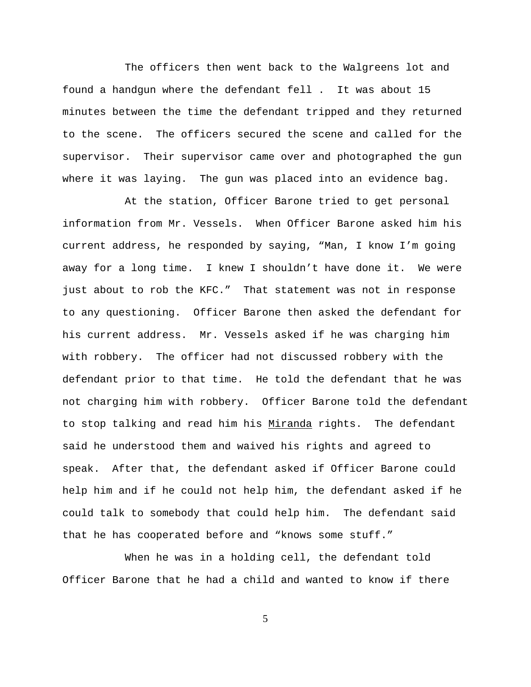The officers then went back to the Walgreens lot and found a handgun where the defendant fell . It was about 15 minutes between the time the defendant tripped and they returned to the scene. The officers secured the scene and called for the supervisor. Their supervisor came over and photographed the gun where it was laying. The gun was placed into an evidence bag.

At the station, Officer Barone tried to get personal information from Mr. Vessels. When Officer Barone asked him his current address, he responded by saying, "Man, I know I'm going away for a long time. I knew I shouldn't have done it. We were just about to rob the KFC." That statement was not in response to any questioning. Officer Barone then asked the defendant for his current address. Mr. Vessels asked if he was charging him with robbery. The officer had not discussed robbery with the defendant prior to that time. He told the defendant that he was not charging him with robbery. Officer Barone told the defendant to stop talking and read him his Miranda rights. The defendant said he understood them and waived his rights and agreed to speak. After that, the defendant asked if Officer Barone could help him and if he could not help him, the defendant asked if he could talk to somebody that could help him. The defendant said that he has cooperated before and "knows some stuff."

When he was in a holding cell, the defendant told Officer Barone that he had a child and wanted to know if there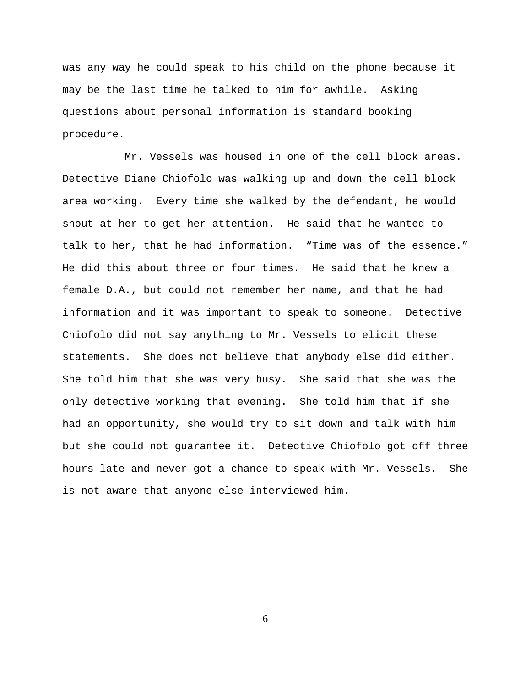was any way he could speak to his child on the phone because it may be the last time he talked to him for awhile. Asking questions about personal information is standard booking procedure.

Mr. Vessels was housed in one of the cell block areas. Detective Diane Chiofolo was walking up and down the cell block area working. Every time she walked by the defendant, he would shout at her to get her attention. He said that he wanted to talk to her, that he had information. "Time was of the essence." He did this about three or four times. He said that he knew a female D.A., but could not remember her name, and that he had information and it was important to speak to someone. Detective Chiofolo did not say anything to Mr. Vessels to elicit these statements. She does not believe that anybody else did either. She told him that she was very busy. She said that she was the only detective working that evening. She told him that if she had an opportunity, she would try to sit down and talk with him but she could not guarantee it. Detective Chiofolo got off three hours late and never got a chance to speak with Mr. Vessels. She is not aware that anyone else interviewed him.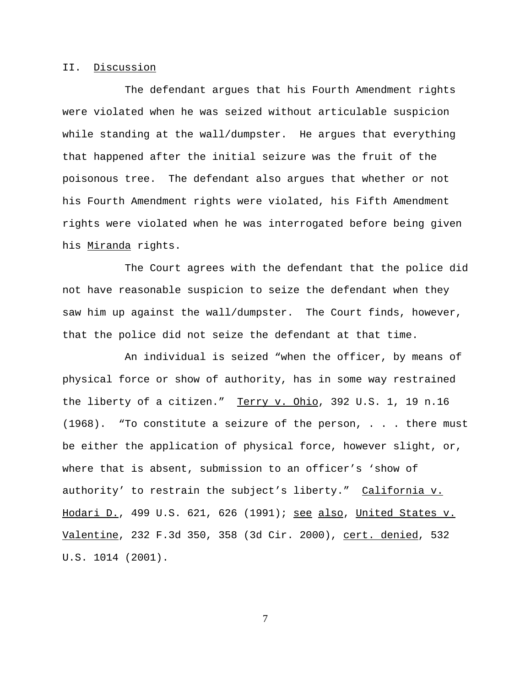#### II. Discussion

The defendant argues that his Fourth Amendment rights were violated when he was seized without articulable suspicion while standing at the wall/dumpster. He argues that everything that happened after the initial seizure was the fruit of the poisonous tree. The defendant also argues that whether or not his Fourth Amendment rights were violated, his Fifth Amendment rights were violated when he was interrogated before being given his Miranda rights.

The Court agrees with the defendant that the police did not have reasonable suspicion to seize the defendant when they saw him up against the wall/dumpster. The Court finds, however, that the police did not seize the defendant at that time.

An individual is seized "when the officer, by means of physical force or show of authority, has in some way restrained the liberty of a citizen." Terry v. Ohio, 392 U.S. 1, 19 n.16 (1968). "To constitute a seizure of the person, . . . there must be either the application of physical force, however slight, or, where that is absent, submission to an officer's 'show of authority' to restrain the subject's liberty." California v. Hodari D., 499 U.S. 621, 626 (1991); see also, United States v. Valentine, 232 F.3d 350, 358 (3d Cir. 2000), cert. denied, 532 U.S. 1014 (2001).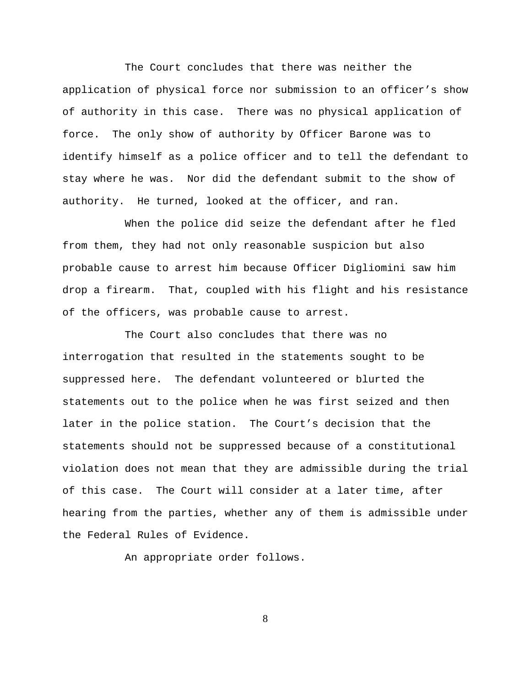The Court concludes that there was neither the application of physical force nor submission to an officer's show of authority in this case. There was no physical application of force. The only show of authority by Officer Barone was to identify himself as a police officer and to tell the defendant to stay where he was. Nor did the defendant submit to the show of authority. He turned, looked at the officer, and ran.

When the police did seize the defendant after he fled from them, they had not only reasonable suspicion but also probable cause to arrest him because Officer Digliomini saw him drop a firearm. That, coupled with his flight and his resistance of the officers, was probable cause to arrest.

The Court also concludes that there was no interrogation that resulted in the statements sought to be suppressed here. The defendant volunteered or blurted the statements out to the police when he was first seized and then later in the police station. The Court's decision that the statements should not be suppressed because of a constitutional violation does not mean that they are admissible during the trial of this case. The Court will consider at a later time, after hearing from the parties, whether any of them is admissible under the Federal Rules of Evidence.

An appropriate order follows.